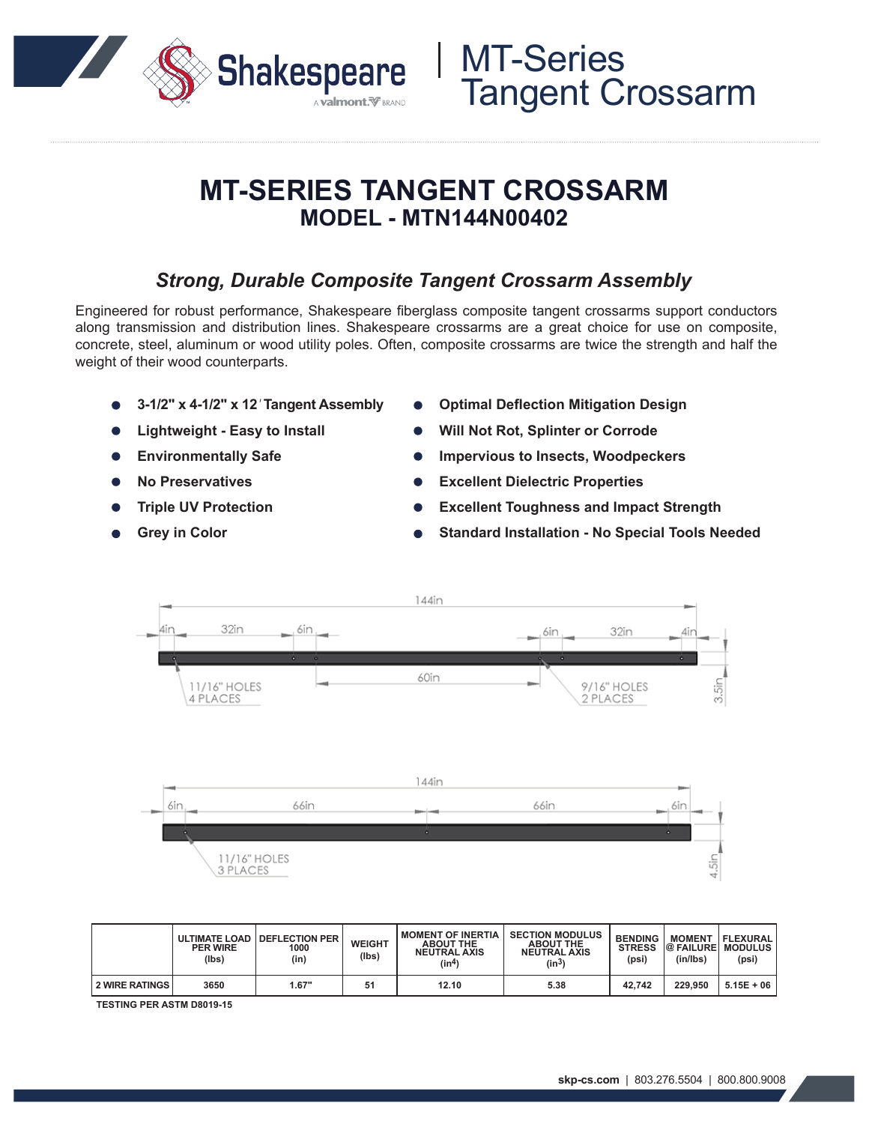

## **MT-SERIES TANGENT CROSSARM MODEL - MTN144N00402**

### *Strong, Durable Composite Tangent Crossarm Assembly*

Engineered for robust performance, Shakespeare fiberglass composite tangent crossarms support conductors along transmission and distribution lines. Shakespeare crossarms are a great choice for use on composite, concrete, steel, aluminum or wood utility poles. Often, composite crossarms are twice the strength and half the weight of their wood counterparts.

- **3-1/2" x 4-1/2" x 12***'* **Tangent Assembly**
- **Lightweight Easy to Install**
- **Environmentally Safe**
- **No Preservatives**
- **Triple UV Protection**
- **Grey in Color**
- **Optimal Deflection Mitigation Design**
- **Will Not Rot, Splinter or Corrode**
- **Impervious to Insects, Woodpeckers**
- **Excellent Dielectric Properties**
- **Excellent Toughness and Impact Strength**
- **Standard Installation No Special Tools Needed**



|                       | <b>ULTIMATE LOAD</b><br><b>PER WIRE</b><br>(lbs) | <b>I DEFLECTION PER</b><br>1000<br>(in) | <b>WEIGHT</b><br>(lbs) | <b>MOMENT OF INERTIA</b><br><b>ABOUT THE</b><br><b>NEUTRAL AXIS</b><br>(in <sup>4</sup> ) | <b>SECTION MODULUS</b><br><b>ABOUT THE</b><br><b>NEUTRAL AXIS</b><br>$(\mathsf{in}^3)$ | <b>BENDING</b><br><b>STRESS</b><br>(psi) | <b>MOMENT</b><br><b>@FAILUREI</b><br>(in/lbs) | FLEXURAL<br>I MODULUS.<br>(psi) |
|-----------------------|--------------------------------------------------|-----------------------------------------|------------------------|-------------------------------------------------------------------------------------------|----------------------------------------------------------------------------------------|------------------------------------------|-----------------------------------------------|---------------------------------|
| <b>2 WIRE RATINGS</b> | 3650                                             | 1.67"                                   | 51                     | 12.10                                                                                     | 5.38                                                                                   | 42.742                                   | 229.950                                       | $5.15E + 06$                    |

**TESTING PER ASTM D8019-15**